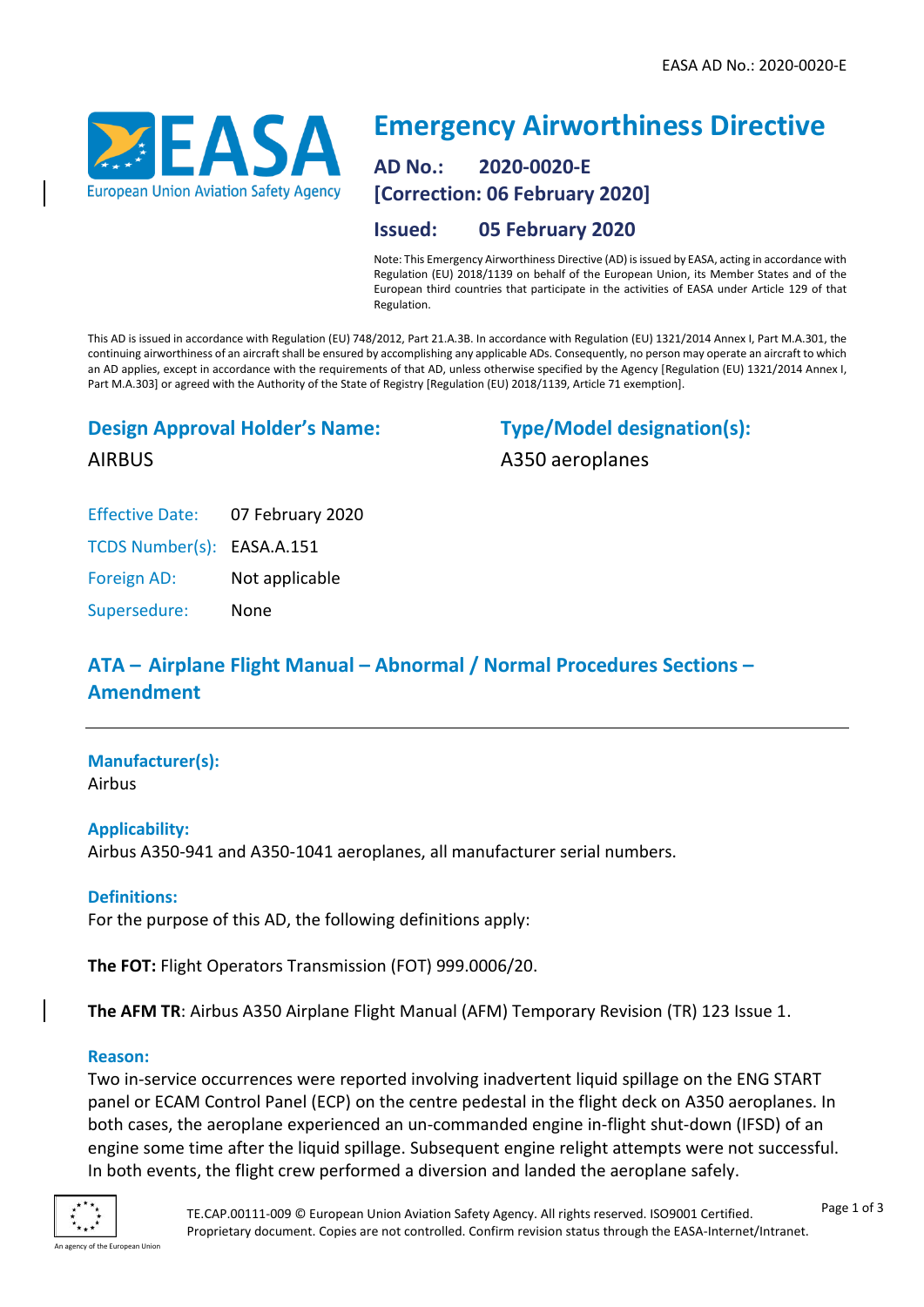

# **Emergency Airworthiness Directive AD No.: 2020-0020-E [Correction: 06 February 2020]**

## **Issued: 05 February 2020**

Note: This Emergency Airworthiness Directive (AD) is issued by EASA, acting in accordance with Regulation (EU) 2018/1139 on behalf of the European Union, its Member States and of the European third countries that participate in the activities of EASA under Article 129 of that Regulation.

This AD is issued in accordance with Regulation (EU) 748/2012, Part 21.A.3B. In accordance with Regulation (EU) 1321/2014 Annex I, Part M.A.301, the continuing airworthiness of an aircraft shall be ensured by accomplishing any applicable ADs. Consequently, no person may operate an aircraft to which an AD applies, except in accordance with the requirements of that AD, unless otherwise specified by the Agency [Regulation (EU) 1321/2014 Annex I, Part M.A.303] or agreed with the Authority of the State of Registry [Regulation (EU) 2018/1139, Article 71 exemption].

# **Design Approval Holder's Name:**

**Type/Model designation(s):** A350 aeroplanes

AIRBUS

Effective Date: 07 February 2020

TCDS Number(s): EASA.A.151

Foreign AD: Not applicable

Supersedure: None

# **ATA – Airplane Flight Manual – Abnormal / Normal Procedures Sections – Amendment**

# **Manufacturer(s):**

Airbus

## **Applicability:**

Airbus A350-941 and A350-1041 aeroplanes, all manufacturer serial numbers.

## **Definitions:**

For the purpose of this AD, the following definitions apply:

**The FOT:** Flight Operators Transmission (FOT) 999.0006/20.

**The AFM TR**: Airbus A350 Airplane Flight Manual (AFM) Temporary Revision (TR) 123 Issue 1.

#### **Reason:**

Two in-service occurrences were reported involving inadvertent liquid spillage on the ENG START panel or ECAM Control Panel (ECP) on the centre pedestal in the flight deck on A350 aeroplanes. In both cases, the aeroplane experienced an un-commanded engine in-flight shut-down (IFSD) of an engine some time after the liquid spillage. Subsequent engine relight attempts were not successful. In both events, the flight crew performed a diversion and landed the aeroplane safely.

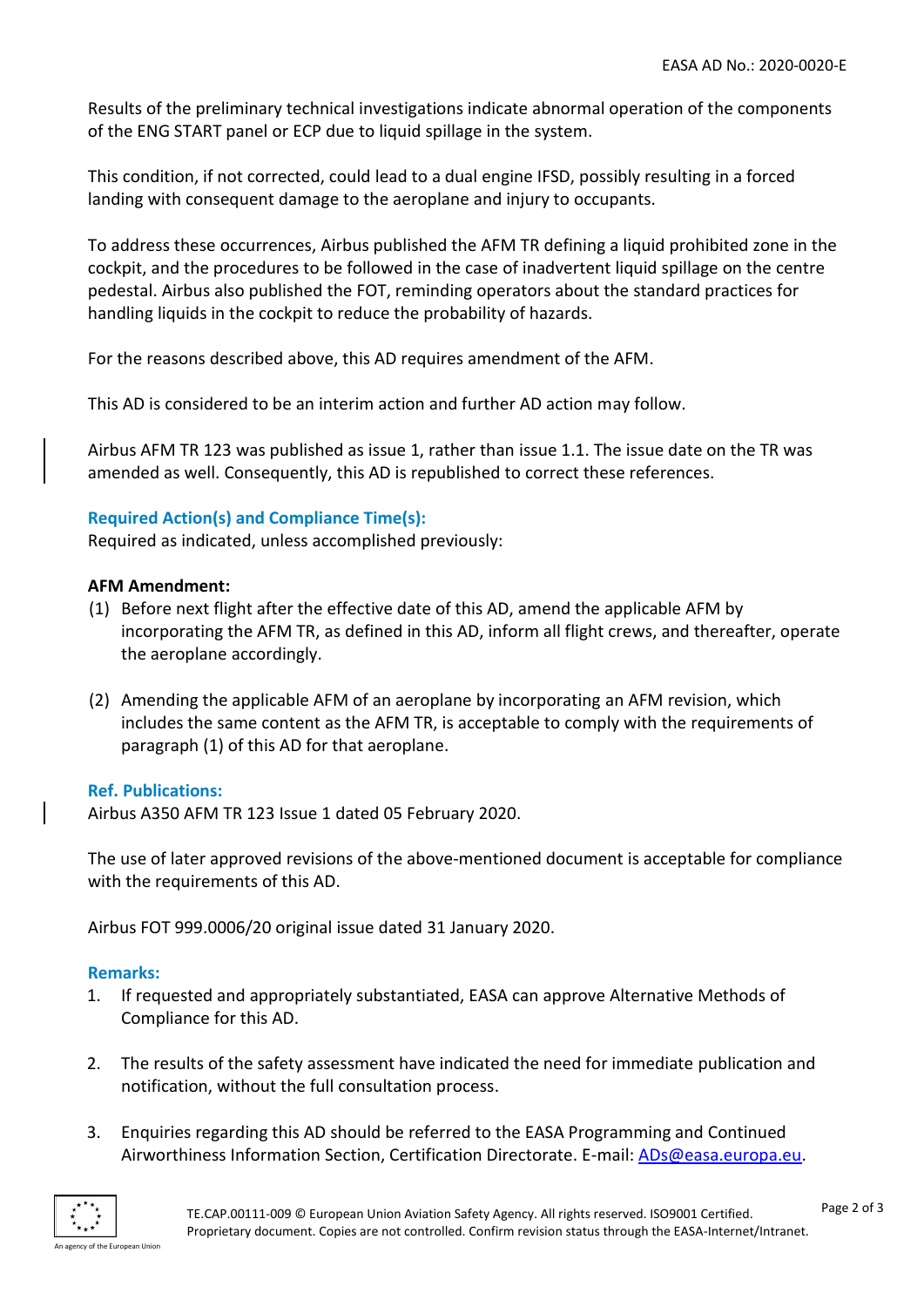Results of the preliminary technical investigations indicate abnormal operation of the components of the ENG START panel or ECP due to liquid spillage in the system.

This condition, if not corrected, could lead to a dual engine IFSD, possibly resulting in a forced landing with consequent damage to the aeroplane and injury to occupants.

To address these occurrences, Airbus published the AFM TR defining a liquid prohibited zone in the cockpit, and the procedures to be followed in the case of inadvertent liquid spillage on the centre pedestal. Airbus also published the FOT, reminding operators about the standard practices for handling liquids in the cockpit to reduce the probability of hazards.

For the reasons described above, this AD requires amendment of the AFM.

This AD is considered to be an interim action and further AD action may follow.

Airbus AFM TR 123 was published as issue 1, rather than issue 1.1. The issue date on the TR was amended as well. Consequently, this AD is republished to correct these references.

## **Required Action(s) and Compliance Time(s):**

Required as indicated, unless accomplished previously:

#### **AFM Amendment:**

- (1) Before next flight after the effective date of this AD, amend the applicable AFM by incorporating the AFM TR, as defined in this AD, inform all flight crews, and thereafter, operate the aeroplane accordingly.
- (2) Amending the applicable AFM of an aeroplane by incorporating an AFM revision, which includes the same content as the AFM TR, is acceptable to comply with the requirements of paragraph (1) of this AD for that aeroplane.

#### **Ref. Publications:**

Airbus A350 AFM TR 123 Issue 1 dated 05 February 2020.

The use of later approved revisions of the above-mentioned document is acceptable for compliance with the requirements of this AD.

Airbus FOT 999.0006/20 original issue dated 31 January 2020.

#### **Remarks:**

- 1. If requested and appropriately substantiated, EASA can approve Alternative Methods of Compliance for this AD.
- 2. The results of the safety assessment have indicated the need for immediate publication and notification, without the full consultation process.
- 3. Enquiries regarding this AD should be referred to the EASA Programming and Continued Airworthiness Information Section, Certification Directorate. E-mail: [ADs@easa.europa.eu.](mailto:ADs@easa.europa.eu)